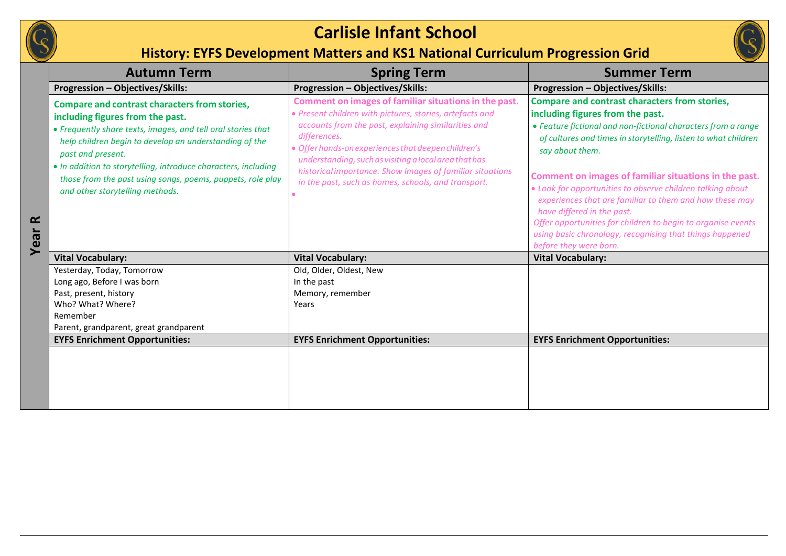

## **Carlisle Infant School**

**History: EYFS Development Matters and KS1 National Curriculum Progression Grid**

|                   | <b>Autumn Term</b>                                                                                                                                                                                                                                                                                                                                                                                         | <b>Spring Term</b>                                                                                                                                                                                                                                                                                                                                                                                                           | <b>Summer Term</b>                                                                                                                                                                                                                                                                                                                                                                                                                                                                                                                                                                                            |
|-------------------|------------------------------------------------------------------------------------------------------------------------------------------------------------------------------------------------------------------------------------------------------------------------------------------------------------------------------------------------------------------------------------------------------------|------------------------------------------------------------------------------------------------------------------------------------------------------------------------------------------------------------------------------------------------------------------------------------------------------------------------------------------------------------------------------------------------------------------------------|---------------------------------------------------------------------------------------------------------------------------------------------------------------------------------------------------------------------------------------------------------------------------------------------------------------------------------------------------------------------------------------------------------------------------------------------------------------------------------------------------------------------------------------------------------------------------------------------------------------|
|                   | Progression - Objectives/Skills:                                                                                                                                                                                                                                                                                                                                                                           | <b>Progression - Objectives/Skills:</b>                                                                                                                                                                                                                                                                                                                                                                                      | Progression - Objectives/Skills:                                                                                                                                                                                                                                                                                                                                                                                                                                                                                                                                                                              |
| $\propto$<br>Year | <b>Compare and contrast characters from stories,</b><br>including figures from the past.<br>• Frequently share texts, images, and tell oral stories that<br>help children begin to develop an understanding of the<br>past and present.<br>. In addition to storytelling, introduce characters, including<br>those from the past using songs, poems, puppets, role play<br>and other storytelling methods. | Comment on images of familiar situations in the past.<br>· Present children with pictures, stories, artefacts and<br>accounts from the past, explaining similarities and<br>differences.<br>· Offer hands-on experiences that deepen children's<br>understanding, such as visiting a local area that has<br>historical importance. Show images of familiar situations<br>in the past, such as homes, schools, and transport. | Compare and contrast characters from stories,<br>including figures from the past.<br>• Feature fictional and non-fictional characters from a range<br>of cultures and times in storytelling, listen to what children<br>say about them.<br>Comment on images of familiar situations in the past.<br>. Look for opportunities to observe children talking about<br>experiences that are familiar to them and how these may<br>have differed in the past.<br>Offer opportunities for children to begin to organise events<br>using basic chronology, recognising that things happened<br>before they were born. |
|                   | <b>Vital Vocabulary:</b>                                                                                                                                                                                                                                                                                                                                                                                   | <b>Vital Vocabulary:</b>                                                                                                                                                                                                                                                                                                                                                                                                     | <b>Vital Vocabulary:</b>                                                                                                                                                                                                                                                                                                                                                                                                                                                                                                                                                                                      |
|                   | Yesterday, Today, Tomorrow<br>Long ago, Before I was born<br>Past, present, history<br>Who? What? Where?<br>Remember<br>Parent, grandparent, great grandparent                                                                                                                                                                                                                                             | Old, Older, Oldest, New<br>In the past<br>Memory, remember<br>Years                                                                                                                                                                                                                                                                                                                                                          |                                                                                                                                                                                                                                                                                                                                                                                                                                                                                                                                                                                                               |
|                   | <b>EYFS Enrichment Opportunities:</b>                                                                                                                                                                                                                                                                                                                                                                      | <b>EYFS Enrichment Opportunities:</b>                                                                                                                                                                                                                                                                                                                                                                                        | <b>EYFS Enrichment Opportunities:</b>                                                                                                                                                                                                                                                                                                                                                                                                                                                                                                                                                                         |
|                   |                                                                                                                                                                                                                                                                                                                                                                                                            |                                                                                                                                                                                                                                                                                                                                                                                                                              |                                                                                                                                                                                                                                                                                                                                                                                                                                                                                                                                                                                                               |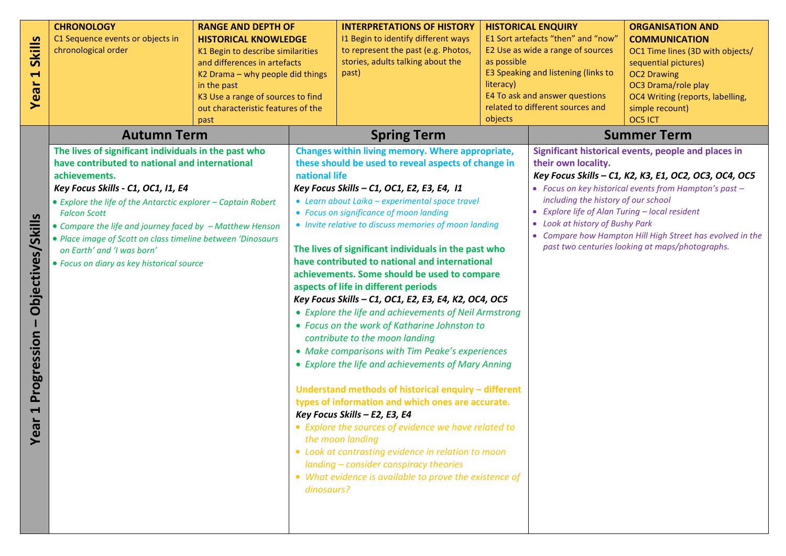| <b>Skills</b><br>Н<br>Year                                            | <b>CHRONOLOGY</b><br>C1 Sequence events or objects in<br>chronological order                                                                                                                                                                                                                                                                                                                                                                                                      | <b>RANGE AND DEPTH OF</b><br><b>HISTORICAL KNOWLEDGE</b><br>K1 Begin to describe similarities<br>and differences in artefacts<br>K2 Drama - why people did things<br>in the past<br>K3 Use a range of sources to find<br>out characteristic features of the<br>past |                             | <b>INTERPRETATIONS OF HISTORY</b><br>I1 Begin to identify different ways<br>to represent the past (e.g. Photos,<br>stories, adults talking about the<br>past)                                                                                                                                                                                                                                                                                                                                                                                                                                                                                                                                                                                                                                                                                                                                                                                                                                                                                                                                                                                                                                                                               | as possible<br>literacy)<br>objects | <b>HISTORICAL ENQUIRY</b><br>E1 Sort artefacts "then" and "now"<br>E2 Use as wide a range of sources<br>E3 Speaking and listening (links to<br>E4 To ask and answer questions<br>related to different sources and | <b>ORGANISATION AND</b><br><b>COMMUNICATION</b><br>OC1 Time lines (3D with objects/<br>sequential pictures)<br><b>OC2 Drawing</b><br>OC3 Drama/role play<br>OC4 Writing (reports, labelling,<br>simple recount)<br>OC5 ICT                                                                                   |
|-----------------------------------------------------------------------|-----------------------------------------------------------------------------------------------------------------------------------------------------------------------------------------------------------------------------------------------------------------------------------------------------------------------------------------------------------------------------------------------------------------------------------------------------------------------------------|---------------------------------------------------------------------------------------------------------------------------------------------------------------------------------------------------------------------------------------------------------------------|-----------------------------|---------------------------------------------------------------------------------------------------------------------------------------------------------------------------------------------------------------------------------------------------------------------------------------------------------------------------------------------------------------------------------------------------------------------------------------------------------------------------------------------------------------------------------------------------------------------------------------------------------------------------------------------------------------------------------------------------------------------------------------------------------------------------------------------------------------------------------------------------------------------------------------------------------------------------------------------------------------------------------------------------------------------------------------------------------------------------------------------------------------------------------------------------------------------------------------------------------------------------------------------|-------------------------------------|-------------------------------------------------------------------------------------------------------------------------------------------------------------------------------------------------------------------|--------------------------------------------------------------------------------------------------------------------------------------------------------------------------------------------------------------------------------------------------------------------------------------------------------------|
| Objectives/Skills<br>Progression<br>$\blacktriangleright$<br>ear<br>≻ | <b>Autumn Term</b><br>The lives of significant individuals in the past who<br>have contributed to national and international<br>achievements.<br>Key Focus Skills - C1, OC1, I1, E4<br>• Explore the life of the Antarctic explorer - Captain Robert<br><b>Falcon Scott</b><br>• Compare the life and journey faced by - Matthew Henson<br>• Place image of Scott on class timeline between 'Dinosaurs<br>on Earth' and 'I was born'<br>• Focus on diary as key historical source |                                                                                                                                                                                                                                                                     | national life<br>dinosaurs? | <b>Spring Term</b><br><b>Changes within living memory. Where appropriate,</b><br>these should be used to reveal aspects of change in<br>Key Focus Skills - C1, OC1, E2, E3, E4, 11<br>• Learn about Laika - experimental space travel<br>• Focus on significance of moon landing<br>• Invite relative to discuss memories of moon landing<br>The lives of significant individuals in the past who<br>have contributed to national and international<br>achievements. Some should be used to compare<br>aspects of life in different periods<br>Key Focus Skills - C1, OC1, E2, E3, E4, K2, OC4, OC5<br>• Explore the life and achievements of Neil Armstrong<br>• Focus on the work of Katharine Johnston to<br>contribute to the moon landing<br>• Make comparisons with Tim Peake's experiences<br>• Explore the life and achievements of Mary Anning<br>Understand methods of historical enquiry - different<br>types of information and which ones are accurate.<br>Key Focus Skills - E2, E3, E4<br>• Explore the sources of evidence we have related to<br>the moon landing<br>• Look at contrasting evidence in relation to moon<br>landing - consider conspiracy theories<br>• What evidence is available to prove the existence of |                                     | their own locality.<br>including the history of our school<br>• Explore life of Alan Turing - local resident<br>• Look at history of Bushy Park                                                                   | <b>Summer Term</b><br>Significant historical events, people and places in<br>Key Focus Skills - C1, K2, K3, E1, OC2, OC3, OC4, OC5<br>• Focus on key historical events from Hampton's past -<br>• Compare how Hampton Hill High Street has evolved in the<br>past two centuries looking at maps/photographs. |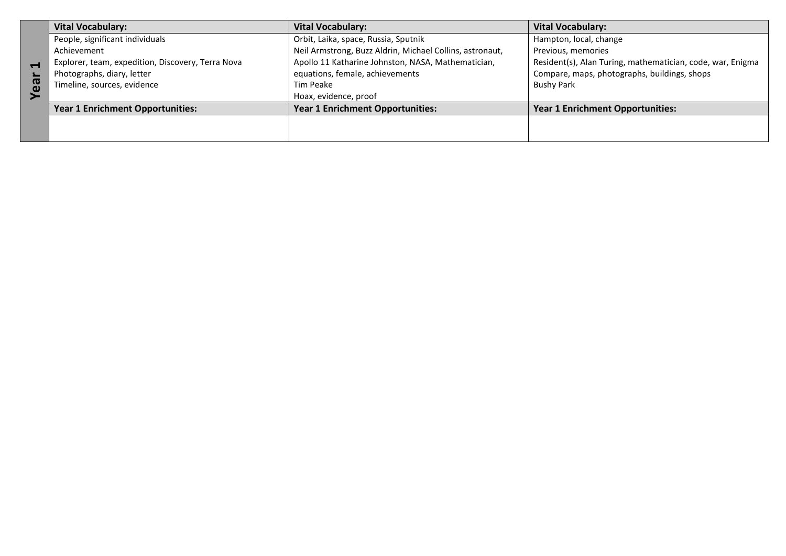| People, significant individuals<br>Orbit, Laika, space, Russia, Sputnik<br>Hampton, local, change                                                                          |                                              |  |
|----------------------------------------------------------------------------------------------------------------------------------------------------------------------------|----------------------------------------------|--|
| Neil Armstrong, Buzz Aldrin, Michael Collins, astronaut,<br>Previous, memories<br>Achievement                                                                              |                                              |  |
| Apollo 11 Katharine Johnston, NASA, Mathematician,<br>Resident(s), Alan Turing, mathematician, code, war, Enigma<br>Explorer, team, expedition, Discovery, Terra Nova<br>Н |                                              |  |
| equations, female, achievements<br>Photographs, diary, letter                                                                                                              | Compare, maps, photographs, buildings, shops |  |
| ear<br>Timeline, sources, evidence<br>Tim Peake<br><b>Bushy Park</b>                                                                                                       |                                              |  |
| Hoax, evidence, proof                                                                                                                                                      |                                              |  |
| <b>Year 1 Enrichment Opportunities:</b><br><b>Year 1 Enrichment Opportunities:</b><br><b>Year 1 Enrichment Opportunities:</b>                                              |                                              |  |
|                                                                                                                                                                            |                                              |  |
|                                                                                                                                                                            |                                              |  |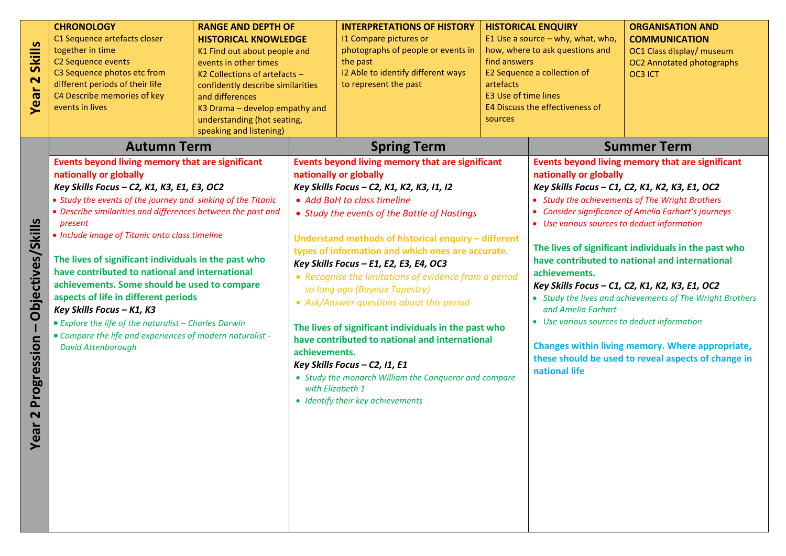| <b>Skills</b><br>$\mathbf{\Omega}$<br>Year                                          | <b>CHRONOLOGY</b><br>C1 Sequence artefacts closer<br>together in time<br>C2 Sequence events<br>C3 Sequence photos etc from<br>different periods of their life<br>C4 Describe memories of key<br>events in lives                                                                                                                                                                                                                                                                                                                                                                                                                                                                                                               | <b>RANGE AND DEPTH OF</b><br><b>HISTORICAL KNOWLEDGE</b><br>K1 Find out about people and<br>events in other times<br>K2 Collections of artefacts -<br>confidently describe similarities<br>and differences<br>K3 Drama - develop empathy and<br>understanding (hot seating,<br>speaking and listening) |                                   | <b>INTERPRETATIONS OF HISTORY</b><br>11 Compare pictures or<br>photographs of people or events in<br>the past<br>I2 Able to identify different ways<br>to represent the past                                                                                                                                                                                                                                                                                                                                                                                                                                                                                                                                                                                       | find answers<br>artefacts<br>E3 Use of time lines<br>sources | <b>HISTORICAL ENQUIRY</b><br>E1 Use a source $-$ why, what, who,<br>how, where to ask questions and<br>E2 Sequence a collection of<br>E4 Discuss the effectiveness of        | <b>ORGANISATION AND</b><br><b>COMMUNICATION</b><br>OC1 Class display/ museum<br><b>OC2 Annotated photographs</b><br>OC3 ICT                                                                                                                                                                                                                                                                                                                                                                                                                                             |
|-------------------------------------------------------------------------------------|-------------------------------------------------------------------------------------------------------------------------------------------------------------------------------------------------------------------------------------------------------------------------------------------------------------------------------------------------------------------------------------------------------------------------------------------------------------------------------------------------------------------------------------------------------------------------------------------------------------------------------------------------------------------------------------------------------------------------------|--------------------------------------------------------------------------------------------------------------------------------------------------------------------------------------------------------------------------------------------------------------------------------------------------------|-----------------------------------|--------------------------------------------------------------------------------------------------------------------------------------------------------------------------------------------------------------------------------------------------------------------------------------------------------------------------------------------------------------------------------------------------------------------------------------------------------------------------------------------------------------------------------------------------------------------------------------------------------------------------------------------------------------------------------------------------------------------------------------------------------------------|--------------------------------------------------------------|------------------------------------------------------------------------------------------------------------------------------------------------------------------------------|-------------------------------------------------------------------------------------------------------------------------------------------------------------------------------------------------------------------------------------------------------------------------------------------------------------------------------------------------------------------------------------------------------------------------------------------------------------------------------------------------------------------------------------------------------------------------|
| Objectives/Skills<br>Progression<br>$\overline{\mathbf{N}}$<br>$\tilde{\mathbf{a}}$ | <b>Autumn Term</b><br>Events beyond living memory that are significant<br>nationally or globally<br>Key Skills Focus - C2, K1, K3, E1, E3, OC2<br>• Study the events of the journey and sinking of the Titanic<br>• Describe similarities and differences between the past and<br>present<br>• Include image of Titanic onto class timeline<br>The lives of significant individuals in the past who<br>have contributed to national and international<br>achievements. Some should be used to compare<br>aspects of life in different periods<br>Key Skills Focus - K1, K3<br>• Explore the life of the naturalist - Charles Darwin<br>• Compare the life and experiences of modern naturalist -<br><b>David Attenborough</b> |                                                                                                                                                                                                                                                                                                        | achievements.<br>with Elizabeth 1 | <b>Spring Term</b><br>Events beyond living memory that are significant<br>nationally or globally<br>Key Skills Focus - C2, K1, K2, K3, I1, I2<br>• Add BoH to class timeline<br>• Study the events of the Battle of Hastings<br>Understand methods of historical enquiry - different<br>types of information and which ones are accurate.<br>Key Skills Focus - E1, E2, E3, E4, OC3<br>• Recognise the limitations of evidence from a period<br>so long ago (Bayeux Tapestry)<br>• Ask/Answer questions about this period<br>The lives of significant individuals in the past who<br>have contributed to national and international<br>Key Skills Focus - C2, 11, E1<br>• Study the monarch William the Conqueror and compare<br>• Identify their key achievements |                                                              | nationally or globally<br>• Use various sources to deduct information<br>achievements.<br>and Amelia Earhart<br>• Use various sources to deduct information<br>national life | <b>Summer Term</b><br>Events beyond living memory that are significant<br>Key Skills Focus - C1, C2, K1, K2, K3, E1, OC2<br>• Study the achievements of The Wright Brothers<br>• Consider significance of Amelia Earhart's journeys<br>The lives of significant individuals in the past who<br>have contributed to national and international<br>Key Skills Focus - C1, C2, K1, K2, K3, E1, OC2<br>• Study the lives and achievements of The Wright Brothers<br>Changes within living memory. Where appropriate,<br>these should be used to reveal aspects of change in |